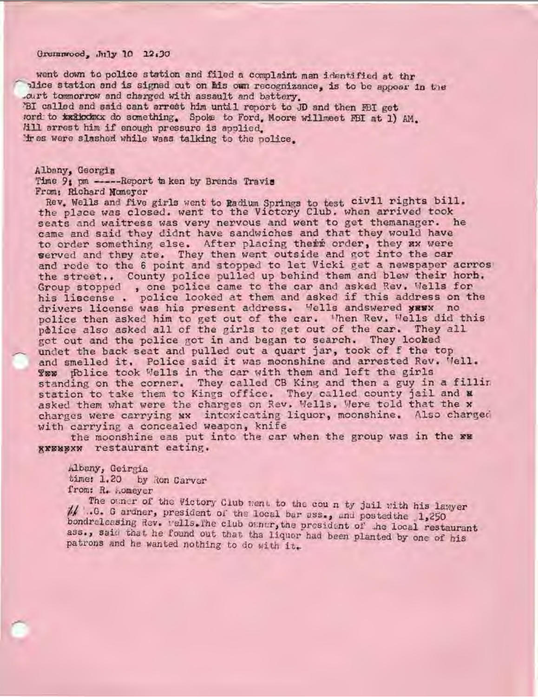Grennwood, July 10 12.30

went down to police station and filed a complaint man identified at thr alice station and is signed out on his own recognizance, is to be appoar in the curt tommorrow and charged with assault and battery. PBI called and said cant arrest him until report to JD and then FBI get tord to **kaikoda**x do something. Spoke to Ford, Moore will meet FBI at 1) AM. Jill arrest him if enough pressure is applied. I were slashed while waas talking to the police.

Albany, Georgia Time 9: pm ------Report taken by Brenda Travis From: Richard Moneyer

Rev. Wells and five girls went to Radium Springs to test civil rights bill. the place was closed. went to the Victory Club. when arrived took seats and waitress was very nervous and went to get themanager. he came and said they didnt have sandwiches and that they would have to order something else. After placing their order, they ax were werved and they ate. They then went outside and got into the car and rode to the 6 point and stopped to let Vicki get a newspaper acrros the street.. County police pulled up behind them and blew their horb. Group stopped , one police came to the car and asked Rev. Wells for his liscense . police looked at them and asked if this address on the drivers license was his present address. Wells andswered yEWX no police then asked him to get out of the car. When Rev. Wells did this police also asked all of the girls to get out of the car. They all got out and the police got in and began to search. They looked undet the back seat and pulled out a quart jar, took of f the top and smelled it, Police said it was moonshine and arrested Rev. Well Yow police took Wells in the car with them and left the girls standing on the corner. They called CB King and then a guy in a fillin station to take them to Kings office. They called county jail and **a** asked them what were the charges on Rev. Wells. Were told that the x charges were carrying *xx* intexicating liquor, moonshine. Also charged with carrying a concealed weapon, knife

the moonshine eas put into the car when the group was in the xx **8XEMBXW restaurant eating.** 

Albany, Geirgia time: 1.20 by Ron Carver

from: R. Aomeyer<br>The other of the Victory Club ment to the count by jail with his lawyer // .0. G ardner, president of the local bar ass., and posted the 1,250 bondreleasing Rev. wells. The club owner, the president of the local restaurant ass., said that he found out that tha liquor had been planted by one of his patrons and he wanted nothing to do with it.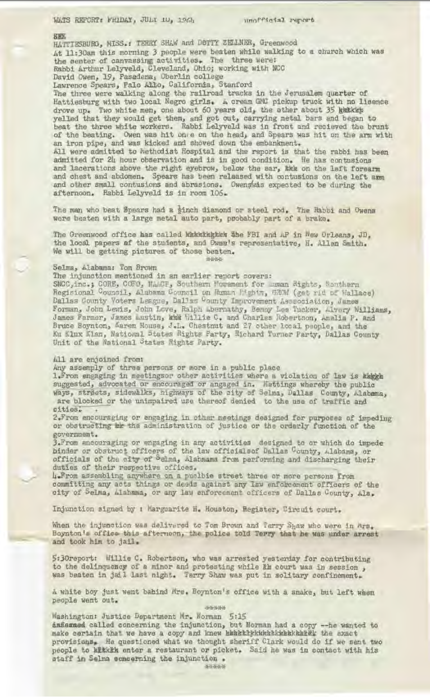### **SEK**

HATTIESBURG, MISS.: TERRY SHAW and DOTTY ZELLNER, Greenwood At 11:30am this morning 3 people were beaten while walking to a church which was the center of canvassing activities. The three were: Rabbi Arthur Lelyveld, Cleveland, Ohio; working with NCC David Owen, 19, Pasedena, Oberlin college

Lawrence Spears, Palo Atto, California, Stanford

The three were walking along the railroad tracks in the Jerusalem quarter of Hattiesburg with two local Negro girls. A cream GMC pickup truck with no lleence drove up. Two white men, one about 60 years old, the ether about 35 kwakis yelled that they would get them, and got out, carrying metal bars and began to beat the three white workers. Rabbi Lelyveld was in front and recieved the brunt of the beating. Owen was hit once on the head, and Spears was hit on the arm with an iron pipe, and was kicked and shoved down the embankment.

All were admitted to hethodist Hospital and the report is that the rabbi has been admitted for 24 hour observation and is in good condition. He has contusion and lacerations above the right eyebrow, below the sar, the on the left forearm and chest and abdomen. Spears has been released with contusions on the left arm and other small contusions and abrasions. Owen, was expected to be during the afternoon. Rabbi Lelyveld is in room 106.

The man who beat Spears had a *zinch diamond or steel rod. The Rabbi* and Owens were beaten with a large metal auto part, probably part of a brake.

The Greenwood office has called Wakkkakkek She FBI and AP in New Orleans, JD. the local papers of the students, and Owaa's representative, H. Allen Smith. We will be getting pictures of those beaten. --

### Selma, Alabama: Tom Brown

The injunction mentioned in an earlier report covers:

SNCC,inc.; CORE, COFO, NAMP, Southern Morement for moran Rights, Southern Regisional Council, Alabama Council on Ruman Pightm, GROM (get rid of Wallace Dallas County Voters League, Dallas County Improvement Assecciation, James Forman, John Lewis, John Love, Ralph Lbernathy, Benny Les Tucker, Alvery Williams, James Farmer, James Lustin, kwk Willie C. and Charles Robertson, Amelia P. and Bruce Boynton, Karen House, J.L. Chestnut and 27 other local people, and the Ku Klux Klan, National States Rights Party, Richard Turner Party, Dallas County-Unit of the National States Rights Party.

## All are enjoined from:

*...\_\_,r* 

Any assemply of three persons or more in a public place

1. From engaging in meetingsor other activities where a violation of law is kweek suggested, advocated or encouraged or angaged in. Mettings whereby the public ways, streets, sidewalks, highways of the city of Selma, Dallas County, Alabama, **are** blocked or the unimpaired use thereof denied to the use of traffic and cities.

2.From encouraging or engaging\_ in Other meetings designed £or purposes of impeding or obstructing  $\omega$  the administration of justice or the orderly function of the government .

3. From ancouraging or engaging in any activities designed to or which do impede binder or obstruct officers of the law officials of Dallas County, Alabama, or officials of the city of Selma, Alabmama from performing and discharging their duties of their respective offices.

4-From assembling anywhere on a puclbie street three or more persons from committing any acts things or deeds against any law enforcement officers of the city of Selma, Alahama, or any law enforcement officers of Dallas County, Ala.

Injunction signed by I Marguarite H. Houston, Register, Circuit court.

When the injunction was delivered to Tom Brown and Tarry Shaw who were in Ars. Boynton's office this afternoon, the police told Terry that he was under arrest, and took him to jail.

5:30report: Willie C. Robertson, who was arrested yesterday for contributing to the delinquency of a minor and protesting while km court was in session , was beaten in jail last night. Terry Shaw was put in solitary confinement.

A white boy just went babind Mrs. Boynton's office with a snake, but left when people went out.

# ~\*~

Washington: Justice Department Mr. Norman 5:15 ansexned called concerning the injunction, but Norman had a copy -- he wanted to make certain that we have a copy and knew ekskirktwickshirkkaltek the exact provisions. He questioned what we thought sheriff Clark would do if we sent two people to kitkikk enter a restaurant or picket. Said he was in contact with his staff in Selma concerning the injunction .

-.-i.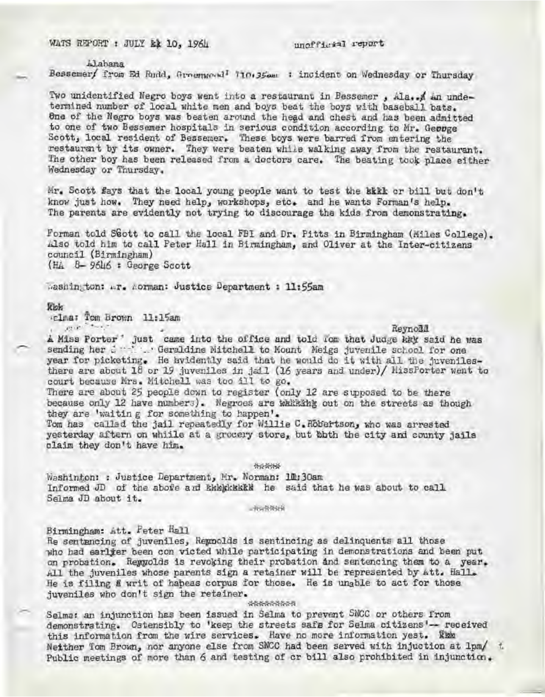WATS REPORT : JULY & 10, 1964 unofficial report

ilabama Bessemer/ from Ed Rudd, Groenwood<sup>1</sup> 710 · 35 am : incident on Wednesday or Thursday

Two unidentified Negro boys went into a restaurant in Bessemer, Ala. A an undetermined number of local white men and boys beat the boys with baseball bats. 6ne of the Negro boys was beaten around the head and chest and has been admitted to one of two Bessemer hospitals in serious condition according to Mr. Geopge Scott, local resident of Bessemer. These boys were barred from entering the restaurant by its owner. They were beaten while walking away from the restaurant. The other boy has been released from a doctors care. The beating took place either Wednesday or Thursday .

Mr. Scott fays that the local young people want to test the kkkk or bill but don't know just how. They need help, workshops, etc. and he wants Forman's help. The parents are evidently not trying to discourage the kids from demonstrating.

Forman told S8ott to call the local FBI and Dr. Pitts in Birmingham (Miles College).<br>Also told him to call Peter Hall in Birmingham, and Oliver at the Inter-citizens counc il (Birmingham) (Hi,. 8- 9646 : George Scott

Washington: •· r. Aorman: Justice Department : 11:55am

### $R$ lok

,elrna: Tom Brotm 11 :lSam , .,,, ·•··. -.. · • Reynoil.i!.

A Miss Porter ' just came into the office and told *'om* that Judge kky said he was sending her .: ... Geraldine Mitchell to Mount Meigs juvenile school for one year for picketing. He hyddently said that he would do it with all the juvenilesthere are about 18 or 19 juveniles in jail (16 years and under)/ NissPorter went to court because Mrs. Mitchell was too ill to go.

There are about 25 people down to register (only 12 are supposed to be there because only 12 have numbers). Negroes are wakking out on the streets as though they are 'waiting for something to happen'.

Tom has called the jail repeatedly for Willie C. Robertson, who was arrested yesterday aftern on whille at a grocery store, but bbth the city and county jails claim they don't have him.

\*\*\*\*\*

Washinton: : Justice Department, Mr. Norman: 10:30an Informed JD of the above and Enegheskik he said that he was about to call Selma JD about it.

 $+1 - 7755 + 11$ 

#### Birmingham: Att. Feter Hall

Re sentencing of juveniles, Reprolds is sentincing as delinquents all those who had earlier been con victed while participating in demonstrations and been put on probation. Reggolds is revoking their probation and sentencing them to a year. All the juveniles whose parents sign a retainer will be represented by Att. Hall. He is filing & writ of hapeas corpus for those. He is unable to act for those juveniles who don't sign the retainer.

\*\*\*\*\*\*\*

Selma: an injunction has been issued in Selma to prevent SNCC or others from demonstrating. Ostensibly to 'keep the streets safe for Selma citizens'-- received this information from the wire services. Have no more information yest. The Neither Tom Brown, nor anyone else from SNCC had been served with injuction at lpm/ t. Public meetings of more than 6 and testing of cr bill also prohibited in injunction.